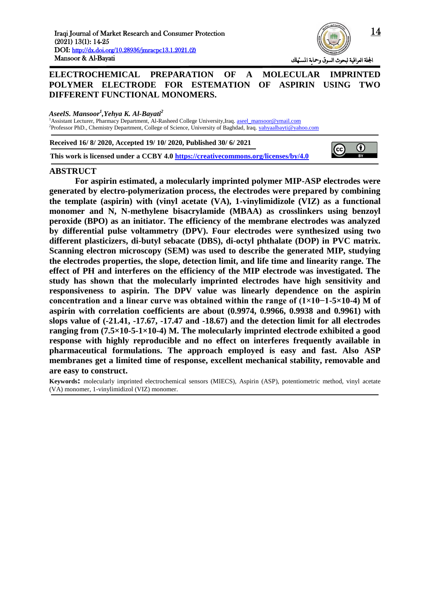

## **ELECTROCHEMICAL PREPARATION OF A MOLECULAR IMPRINTED POLYMER ELECTRODE FOR ESTEMATION OF ASPIRIN USING TWO DIFFERENT FUNCTIONAL MONOMERS.**

*AseelS. Mansoor<sup>1</sup> ,Yehya K. Al-Bayati<sup>2</sup>*

<sup>1</sup>Assistant Lecturer, Pharmacy Department, Al-Rasheed College University,Iraq. [aseel\\_mansoor@ymail.com](mailto:aseel_mansoor@ymail.com) <sup>2</sup>Professor PhD., Chemistry Department, College of Science, University of Baghdad, Iraq[. yahyaalbayti@yahoo.com](mailto:yahyaalbayti@yahoo.com)

**Received 16/ 8/ 2020, Accepted 19/ 10/ 2020, Published 30/ 6/ 2021**

**This work is licensed under a CCBY 4.0<https://creativecommons.org/licenses/by/4.0>**



#### **ABSTRUCT**

**For aspirin estimated, a molecularly imprinted polymer MIP-ASP electrodes were generated by electro-polymerization process, the electrodes were prepared by combining the template (aspirin) with (vinyl acetate (VA), 1-vinylimidizole (VIZ) as a functional monomer and N, N-methylene bisacrylamide (MBAA) as crosslinkers using benzoyl peroxide (BPO) as an initiator. The efficiency of the membrane electrodes was analyzed by differential pulse voltammetry (DPV). Four electrodes were synthesized using two different plasticizers, di-butyl sebacate (DBS), di-octyl phthalate (DOP) in PVC matrix. Scanning electron microscopy (SEM) was used to describe the generated MIP, studying the electrodes properties, the slope, detection limit, and life time and linearity range. The effect of PH and interferes on the efficiency of the MIP electrode was investigated. The study has shown that the molecularly imprinted electrodes have high sensitivity and responsiveness to aspirin. The DPV value was linearly dependence on the aspirin concentration and a linear curve was obtained within the range of (1×10−1-5×10-4) M of aspirin with correlation coefficients are about (0.9974, 0.9966, 0.9938 and 0.9961) with slops value of (-21.41, -17.67, -17.47 and -18.67) and the detection limit for all electrodes ranging from (7.5×10-5-1×10-4) M. The molecularly imprinted electrode exhibited a good response with highly reproducible and no effect on interferes frequently available in pharmaceutical formulations. The approach employed is easy and fast. Also ASP membranes get a limited time of response, excellent mechanical stability, removable and are easy to construct.**

**Keywords:** molecularly imprinted electrochemical sensors (MIECS), Aspirin (ASP), potentiometric method, vinyl acetate (VA) monomer, 1-vinylimidizol (VIZ) monomer.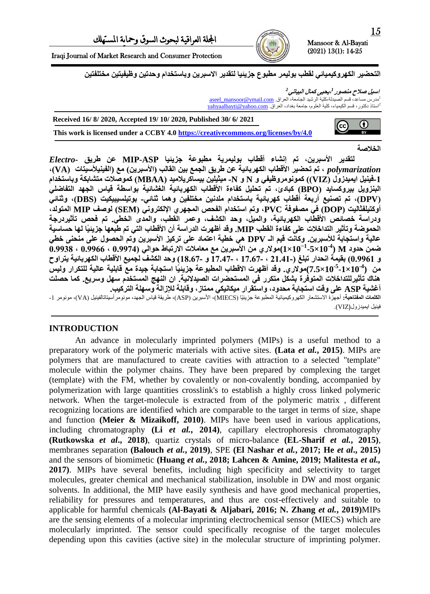Iraqi Journal of Market Research and Consumer Protection

التحضير الكهروكيميائي لقطب بوليمر مطبوع جزيئيا لتقدير الاسبرين وباستخدام وحدتين وظيفيتين مختلفتين

اسيل صلاح منصور <sup>1</sup>،يحيى كمال البياتي<sup>2</sup> لمدرس مساعد، قسم الصيدلة،كلية الرشيد الجامعة، العراق. <u>aseel\_mansoor@ymail.com</u> <sup>2</sup>استاذ دكتور، قسم الكيمياء، كلية العلوم، جامعة بغداد، العراق. <u>yahyaalbayti@yahoo.com</u>

۱

0  $\left(\mathrm{cc}\right)$ 

**This work is licensed under a CCBY 4.0<https://creativecommons.org/licenses/by/4.0> Received 16/ 8/ 2020, Accepted 19/ 10/ 2020, Published 30/ 6/ 2021**

**انخالصخ**

**نزقذَر األضجر،ٍَ رى إَشبء أقطبة ثىنًُرَخ يطجىعخ جسَئُب ASP-MIP عٍ طرَق** *-Electro polymarization* ، تم تحضير الأقطاب الكهربائية عن طريق الجمع بين القالب (الأسبرين) مع (الفينيلأسيتات (VA)، **-1فُُُم اًَُذزول )VIZ ))كًىَىيروظُفٍ و N و N- يُثُهٍُ ثُطبكرَاليُذ )MBAA )كًىصالد يزشبثكخ وثبضزخذاو**  البِنزويل بيروكسايد (BPO) كبادئ، تم تحليل كفاءة الأقطاب الكهربائية الغشائية بواسطة قياس الجهد التفاضل*ي* **)DPV)، رى رصُُع أرثعخ أقطبة كهرثبئُخ ثبضزخذاو يهذٍَُ يخزهفٍُ وهًب ثُبئ-ٍ ثىرُهطُجُكُذ )DBS)، وثُبئٍ أوكزُهفثبنُذ )DOP )فٍ يصفىفخ PVC، ورى اضزخذاو انفحص انًجهرٌ اإلنكزروٍَ )SEM )نىصف MIP انًزىنذ،**  ودراسة خصائص الأقطاب الكهربائية، والميل، وحد الكشف، وعمر القطب، والمدى الخطي. تم فحص تأثيردرجة الحموضة وتأثير التداخلات على كفاءة القطب MIP. وقد أظهرت الدراسة أن الأقطاب التي تم طبعها جزيئيًا لها حساسية عالية واستجابة للأسبرين. وكانت قيم الـ DPV هي خطية اعتماد على تركيز الأسبرين وتم الحصول على منحنى خطى  $\sim(0.9938\,\cdot\,0.9966\,\cdot\,0.9974)$ مولاري من الأسبرين مع معاملات الارتباط حوالي (0.9974 ،  $\sim(1\times10^{-1}$ **و 4.9901( ثقًُخ اَحذار رجهغ )11.01- ، 1..0.- ، 1..0.- و 10.0.-( وحذ انكشف نجًُع األقطبة انكهرثبئُخ َزراوح**  من (1×10<sup>-5</sup>-1x10)مولاري. وقد أظهرت الاقطاب المطبوعة جزيئيًا استجابة جيدة مع قابلية عالية للتكرار وليس **هُبك رأثُرنهزذاخالد انًزىفرح ثشكم يزكرر فٍ انًطزحضراد انصُذالَُخ. اٌ انُهج انًطزخذو ضهم وضرَع. كًب حصهذ**  أغشية ASP على وقت استجابة محدود، واستَقرار ميكانيكي ممتاز، وقابلة للإزالة وسهلة التركيب. ا**لكلمات المفتاحية:** أجهزة الاستشعار الكهروكيميائية المطبوعة جزيئيًا (MIECS)، الأسبرين (ASP)، طريقة قياس الجهد، مونومر أسيتاتالفينيل (VA)، مونومر 1-فينيل ايميدزول(VIZ).

# **INTRODUCTION**

An advance in molecularly imprinted polymers (MIPs) is a useful method to a preparatory work of the polymeric materials with active sites. **(Lata** *et al.***, 2015)**. MIPs are polymers that are manufactured to create cavities with attraction to a selected "template" molecule within the polymer chains. They have been prepared by complexing the target (template) with the FM, whether by covalently or non-covalently bonding, accompanied by polymerization with large quantities crosslink's to establish a highly cross linked polymeric network. When the target-molecule is extracted from of the polymeric matrix , different recognizing locations are identified which are comparable to the target in terms of size, shape and function **(Meier & Mizaikoff, 2010)**. MIPs have been used in various applications, including chromatography **(Li** *et al.***, 2014)**, capillary electrophoresis chromatography **(Rutkowska** *et al***., 2018)**, quartiz crystals of micro-balance **(EL-Sharif** *et al.***, 2015)**, membranes separation **(Balouch** *et al.***, 2019)**, SPE **(El Nashar** *et al.***, 2017; He** *et al***., 2015)** and the sensors of biomimetic **(Huang** *et al.***, 2018; Lahcen & Amine, 2019; Malitesta** *et al.,* **2017)**. MIPs have several benefits, including high specificity and selectivity to target molecules, greater chemical and mechanical stabilization, insoluble in DW and most organic solvents. In additional, the MIP have easily synthesis and have good mechanical properties, reliability for pressures and temperatures, and thus are cost-effectively and suitable to applicable for harmful chemicals **(Al-Bayati & Aljabari, 2016; N. Zhang** *et al.***, 2019)**MIPs are the sensing elements of a molecular imprinting electrochemical sensor (MIECS) which are molecularly imprinted. The sensor could specifically recognise of the target molecules depending upon this cavities (active site) in the molecular structure of imprinting polymer.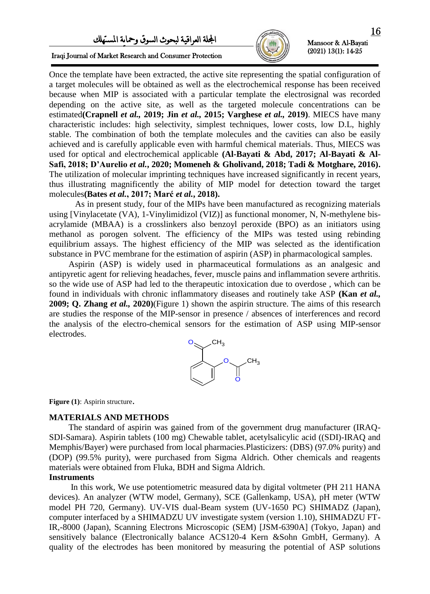# اجمللة العراقية لبحىث السىق ومحاية املستهلك



(2021) 13(1): 14-25

۱

Iraqi Journal of Market Research and Consumer Protection

Once the template have been extracted, the active site representing the spatial configuration of a target molecules will be obtained as well as the electrochemical response has been received because when MIP is associated with a particular template the electrosignal was recorded depending on the active site, as well as the targeted molecule concentrations can be estimated**(Crapnell** *et al.,* **2019; Jin** *et al.,* **2015; Varghese** *et al.,* **2019)**. MIECS have many characteristic includes: high selectivity, simplest techniques, lower costs, low D.L, highly stable. The combination of both the template molecules and the cavities can also be easily achieved and is carefully applicable even with harmful chemical materials. Thus, MIECS was used for optical and electrochemical applicable **(Al-Bayati & Abd, 2017; Al-Bayati & Al-Safi, 2018; D'Aurelio** *et al.***, 2020; Momeneh & Gholivand, 2018; Tadi & Motghare, 2016).** The utilization of molecular imprinting techniques have increased significantly in recent years, thus illustrating magnificently the ability of MIP model for detection toward the target molecules**(Bates** *et al.***, 2017; Marć** *et al.***, 2018).** 

As in present study, four of the MIPs have been manufactured as recognizing materials using [Vinylacetate (VA), 1-Vinylimidizol (VIZ)] as functional monomer, N, N-methylene bisacrylamide (MBAA) is a crosslinkers also benzoyl peroxide (BPO) as an initiators using methanol as porogen solvent. The efficiency of the MIPs was tested using rebinding equilibrium assays. The highest efficiency of the MIP was selected as the identification substance in PVC membrane for the estimation of aspirin (ASP) in pharmacological samples.

 Aspirin (ASP) is widely used in pharmaceutical formulations as an analgesic and antipyretic agent for relieving headaches, fever, muscle pains and inflammation severe arthritis. so the wide use of ASP had led to the therapeutic intoxication due to overdose , which can be found in individuals with chronic inflammatory diseases and routinely take ASP **(Kan** *et al.,* **2009; Q. Zhang** *et al.,* **2020)**(Figure 1) shown the aspirin structure. The aims of this research are studies the response of the MIP-sensor in presence / absences of interferences and record the analysis of the electro-chemical sensors for the estimation of ASP using MIP-sensor electrodes.



**Figure (1):** Aspirin structure.

#### **MATERIALS AND METHODS**

 The standard of aspirin was gained from of the government drug manufacturer (IRAQ-SDI-Samara). Aspirin tablets (100 mg) Chewable tablet, acetylsalicylic acid ((SDI)-IRAQ and Memphis/Bayer) were purchased from local pharmacies.Plasticizers: (DBS) (97.0% purity) and (DOP) (99.5% purity), were purchased from Sigma Aldrich. Other chemicals and reagents materials were obtained from Fluka, BDH and Sigma Aldrich.

#### **Instruments**

 In this work, We use potentiometric measured data by digital voltmeter (PH 211 HANA devices). An analyzer (WTW model, Germany), SCE (Gallenkamp, USA), pH meter (WTW model PH 720, Germany). UV-VIS dual-Beam system (UV-1650 PC) SHIMADZ (Japan), computer interfaced by a SHIMADZU UV investigate system (version 1.10), SHIMADZU FT-IR,-8000 (Japan), Scanning Electrons Microscopic (SEM) [JSM-6390A] (Tokyo, Japan) and sensitively balance (Electronically balance ACS120-4 Kern &Sohn GmbH, Germany). A quality of the electrodes has been monitored by measuring the potential of ASP solutions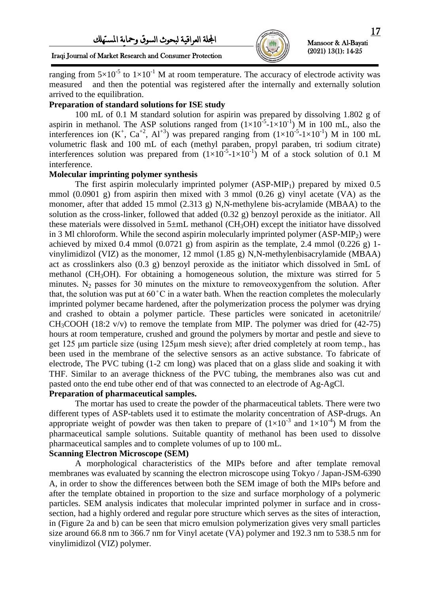

۱

Iraqi Iournal of Market Research and Consumer Protection

ranging from  $5\times10^{-5}$  to  $1\times10^{-1}$  M at room temperature. The accuracy of electrode activity was measured and then the potential was registered after the internally and externally solution arrived to the equilibration.

## **Preparation of standard solutions for ISE study**

100 mL of 0.1 M standard solution for aspirin was prepared by dissolving 1.802 g of aspirin in methanol. The ASP solutions ranged from  $(1 \times 10^{-5} - 1 \times 10^{-1})$  M in 100 mL, also the interferences ion  $(K^+$ ,  $Ca^{+2}$ ,  $Al^{+3}$ ) was prepared ranging from  $(1 \times 10^{-5} - 1 \times 10^{-1})$  M in 100 mL volumetric flask and 100 mL of each (methyl paraben, propyl paraben, tri sodium citrate) interferences solution was prepared from  $(1\times10^{-5}$ - $1\times10^{-1})$  M of a stock solution of 0.1 M interference.

#### **Molecular imprinting polymer synthesis**

The first aspirin molecularly imprinted polymer  $(ASP-MIP_1)$  prepared by mixed 0.5 mmol (0.0901 g) from aspirin then mixed with 3 mmol (0.26 g) vinyl acetate (VA) as the monomer, after that added 15 mmol (2.313 g) N,N-methylene bis-acrylamide (MBAA) to the solution as the cross-linker, followed that added (0.32 g) benzoyl peroxide as the initiator. All these materials were dissolved in  $5 \pm mL$  methanol (CH<sub>3</sub>OH) except the initiator have dissolved in 3 Ml chloroform. While the second aspirin molecularly imprinted polymer  $(ASP-MIP<sub>2</sub>)$  were achieved by mixed 0.4 mmol  $(0.0721 \text{ g})$  from aspirin as the template, 2.4 mmol  $(0.226 \text{ g})$  1vinylimidizol (VIZ) as the monomer, 12 mmol (1.85 g) N,N-methylenbisacrylamide (MBAA) act as crosslinkers also (0.3 g) benzoyl peroxide as the initiator which dissolved in 5mL of methanol ( $CH<sub>3</sub>OH$ ). For obtaining a homogeneous solution, the mixture was stirred for 5 minutes.  $N_2$  passes for 30 minutes on the mixture to removeoxygenfrom the solution. After that, the solution was put at  $60^{\circ}$ C in a water bath. When the reaction completes the molecularly imprinted polymer became hardened, after the polymerization process the polymer was drying and crashed to obtain a polymer particle. These particles were sonicated in acetonitrile/  $CH<sub>3</sub>COOH$  (18:2 v/v) to remove the template from MIP. The polymer was dried for (42-75) hours at room temperature, crushed and ground the polymers by mortar and pestle and sieve to get 125  $\mu$ m particle size (using 125 $\mu$ m mesh sieve); after dried completely at room temp., has been used in the membrane of the selective sensors as an active substance. To fabricate of electrode, The PVC tubing (1-2 cm long) was placed that on a glass slide and soaking it with THF. Similar to an average thickness of the PVC tubing, the membranes also was cut and pasted onto the end tube other end of that was connected to an electrode of Ag-AgCl.

# **Preparation of pharmaceutical samples.**

The mortar has used to create the powder of the pharmaceutical tablets. There were two different types of ASP-tablets used it to estimate the molarity concentration of ASP-drugs. An appropriate weight of powder was then taken to prepare of  $(1\times10^{-3}$  and  $1\times10^{-4})$  M from the pharmaceutical sample solutions. Suitable quantity of methanol has been used to dissolve pharmaceutical samples and to complete volumes of up to 100 mL.

#### **Scanning Electron Microscope (SEM)**

A morphological characteristics of the MIPs before and after template removal membranes was evaluated by scanning the electron microscope using Tokyo / Japan-JSM-6390 A, in order to show the differences between both the SEM image of both the MIPs before and after the template obtained in proportion to the size and surface morphology of a polymeric particles. SEM analysis indicates that molecular imprinted polymer in surface and in crosssection, had a highly ordered and regular pore structure which serves as the sites of interaction, in (Figure 2a and b) can be seen that micro emulsion polymerization gives very small particles size around 66.8 nm to 366.7 nm for Vinyl acetate (VA) polymer and 192.3 nm to 538.5 nm for vinylimidizol (VIZ) polymer.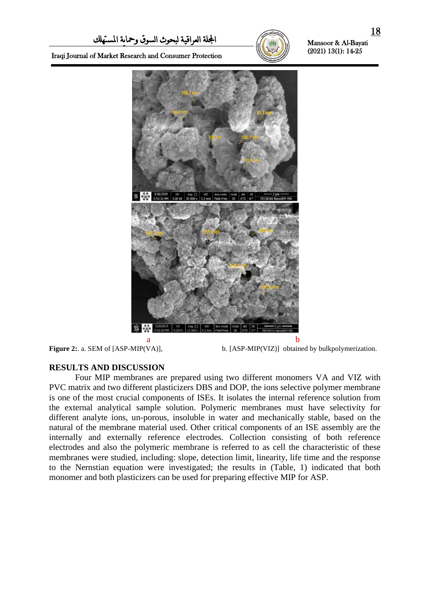

۱

Iraqi Journal of Market Research and Consumer Protection



**Figure 2:** a. SEM of [ASP-MIP(VA)], b. [ASP-MIP(VIZ)] obtained by bulkpolymerization.

# **RESULTS AND DISCUSSION**

Four MIP membranes are prepared using two different monomers VA and VIZ with PVC matrix and two different plasticizers DBS and DOP, the ions selective polymer membrane is one of the most crucial components of ISEs. It isolates the internal reference solution from the external analytical sample solution. Polymeric membranes must have selectivity for different analyte ions, un-porous, insoluble in water and mechanically stable, based on the natural of the membrane material used. Other critical components of an ISE assembly are the internally and externally reference electrodes. Collection consisting of both reference electrodes and also the polymeric membrane is referred to as cell the characteristic of these membranes were studied, including: slope, detection limit, linearity, life time and the response to the Nernstian equation were investigated; the results in (Table, 1) indicated that both monomer and both plasticizers can be used for preparing effective MIP for ASP.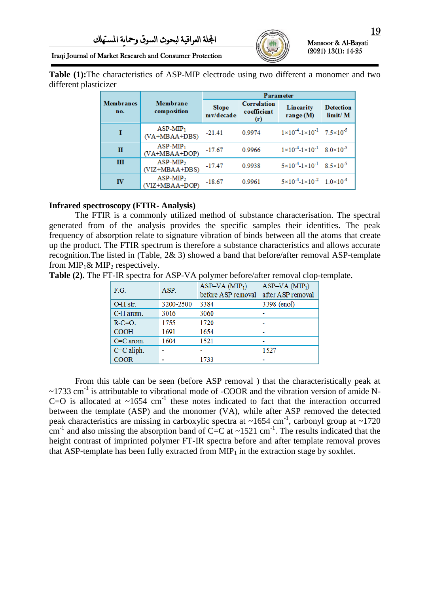

۱

## Iraqi Journal of Market Research and Consumer Protection

**Table (1):**The characteristics of ASP-MIP electrode using two different a monomer and two different plasticizer

|                         |                                |                           | <b>Parameter</b>                  |                                                             |                                    |  |  |  |  |
|-------------------------|--------------------------------|---------------------------|-----------------------------------|-------------------------------------------------------------|------------------------------------|--|--|--|--|
| <b>Membranes</b><br>no. | Membrane<br>composition        | <b>Slope</b><br>mv/decade | Correlation<br>coefficient<br>(r) | Linearity<br>range $(M)$                                    | <b>Detection</b><br>$\lim$ it/ $M$ |  |  |  |  |
| 1                       | $ASP-MIP_1$<br>$(VA+MBAA+DBS)$ | $-21.41$                  | 0.9974                            | $1 \times 10^{-4}$ -1×10 <sup>-1</sup> 7.5×10 <sup>-5</sup> |                                    |  |  |  |  |
| п                       | $ASP-MIP_1$<br>$(VA+MBAA+DOP)$ | $-17.67$                  | 0.9966                            | $1 \times 10^{-4}$ -1×10 <sup>-1</sup> 8.0×10 <sup>-5</sup> |                                    |  |  |  |  |
| Ш                       | $ASP-MIP2$<br>$(VIZ+MBAA+DBS)$ | $-17.47$                  | 0.9938                            | $5 \times 10^{-4}$ -1×10 <sup>-1</sup> 8.5×10 <sup>-5</sup> |                                    |  |  |  |  |
| IV                      | $ASP-MIP2$<br>$(VIZ+MBAA+DOP)$ | $-18.67$                  | 0.9961                            | $5 \times 10^{-4}$ -1×10 <sup>-2</sup> 1.0×10 <sup>-4</sup> |                                    |  |  |  |  |

# **Infrared spectroscopy (FTIR- Analysis)**

The FTIR is a commonly utilized method of substance characterisation. The spectral generated from of the analysis provides the specific samples their identities. The peak frequency of absorption relate to signature vibration of binds between all the atoms that create up the product. The FTIR spectrum is therefore a substance characteristics and allows accurate recognition.The listed in (Table, 2& 3) showed a band that before/after removal ASP-template from  $\text{MIP}_1 \& \text{MIP}_2$  respectively.

**Table (2).** The FT-IR spectra for ASP-VA polymer before/after removal clop-template.

| F.G.         | ASP.      | ASP–VA(MIP <sub>1</sub> )<br>before ASP removal | ASP–VA(MIP <sub>1</sub> )<br>after ASP removal |
|--------------|-----------|-------------------------------------------------|------------------------------------------------|
| O-H str.     | 3200-2500 | 3384                                            | 3398 (enol)                                    |
| C-H arom.    | 3016      | 3060                                            |                                                |
| $R-C=O.$     | 1755      | 1720                                            |                                                |
| <b>COOH</b>  | 1691      | 1654                                            |                                                |
| $C=C$ arom.  | 1604      | 1521                                            |                                                |
| $C=C$ aliph. |           |                                                 | 1527                                           |
| <b>COOR</b>  |           | 1733                                            |                                                |

From this table can be seen (before ASP removal ) that the characteristically peak at  $\sim$ 1733 cm<sup>-1</sup> is attributable to vibrational mode of -COOR and the vibration version of amide N-C=O is allocated at  $\sim 1654$  cm<sup>-1</sup> these notes indicated to fact that the interaction occurred between the template (ASP) and the monomer (VA), while after ASP removed the detected peak characteristics are missing in carboxylic spectra at  $\sim$ 1654 cm<sup>-1</sup>, carbonyl group at  $\sim$ 1720 cm<sup>-1</sup> and also missing the absorption band of C=C at  $\sim$ 1521 cm<sup>-1</sup>. The results indicated that the height contrast of imprinted polymer FT-IR spectra before and after template removal proves that ASP-template has been fully extracted from  $\text{MP}_1$  in the extraction stage by soxhlet.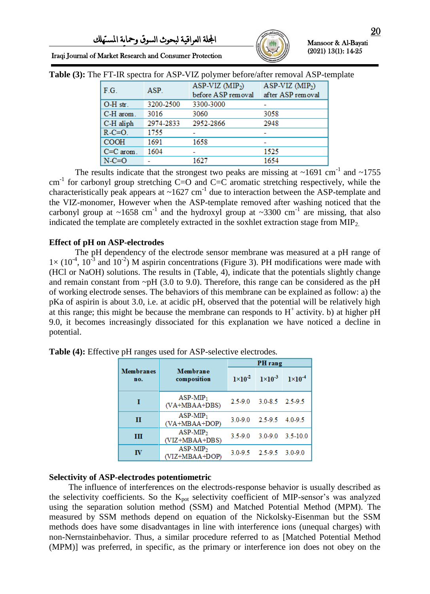

۱

| $\frac{1}{100}$ . In the special case $\frac{1}{100}$ is the polymetry sector with $\frac{1}{100}$ . We have $\frac{1}{100}$ |           |                                        |                                       |
|------------------------------------------------------------------------------------------------------------------------------|-----------|----------------------------------------|---------------------------------------|
| F.G.                                                                                                                         | ASP.      | ASP-VIZ $(MIP2)$<br>before ASP removal | ASP-VIZ $(MIP2)$<br>after ASP removal |
| O-H str.                                                                                                                     | 3200-2500 | 3300-3000                              |                                       |
| C-H arom.                                                                                                                    | 3016      | 3060                                   | 3058                                  |
| C-H aliph                                                                                                                    | 2974-2833 | 2952-2866                              | 2948                                  |
| $R-C=O$ .                                                                                                                    | 1755      |                                        |                                       |
| <b>COOH</b>                                                                                                                  | 1691      | 1658                                   |                                       |
| $C=C$ arom.                                                                                                                  | 1604      |                                        | 1525                                  |
| $N-C=O$                                                                                                                      |           | 1627                                   | 1654                                  |

**Table (3):** The FT-IR spectra for ASP-VIZ polymer before/after removal ASP-template

The results indicate that the strongest two peaks are missing at  $\sim$ 1691 cm<sup>-1</sup> and  $\sim$ 1755  $cm<sup>-1</sup>$  for carbonyl group stretching C=O and C=C aromatic stretching respectively, while the characteristically peak appears at  $\sim 1627$  cm<sup>-1</sup> due to interaction between the ASP-template and the VIZ-monomer, However when the ASP-template removed after washing noticed that the carbonyl group at  $\sim$ 1658 cm<sup>-1</sup> and the hydroxyl group at  $\sim$ 3300 cm<sup>-1</sup> are missing, that also indicated the template are completely extracted in the soxhlet extraction stage from  $\text{MIP}_2$ .

#### **Effect of pH on ASP-electrodes**

The pH dependency of the electrode sensor membrane was measured at a pH range of  $1 \times (10^{-4}, 10^{-3}$  and  $10^{-2})$  M aspirin concentrations (Figure 3). PH modifications were made with (HCl or NaOH) solutions. The results in (Table, 4), indicate that the potentials slightly change and remain constant from  $\neg$ pH (3.0 to 9.0). Therefore, this range can be considered as the pH of working electrode senses. The behaviors of this membrane can be explained as follow: a) the pKa of aspirin is about 3.0, i.e. at acidic pH, observed that the potential will be relatively high at this range; this might be because the membrane can responds to  $H^+$  activity. b) at higher pH 9.0, it becomes increasingly dissociated for this explanation we have noticed a decline in potential.

|                         |                                | PH rang |                                                          |  |  |  |  |
|-------------------------|--------------------------------|---------|----------------------------------------------------------|--|--|--|--|
| <b>Membranes</b><br>no. | Membrane<br>composition        |         | $1 \times 10^{-2}$ $1 \times 10^{-3}$ $1 \times 10^{-4}$ |  |  |  |  |
| 1                       | $ASP-MIP_1$<br>(VA+MBAA+DBS)   |         | 2.5-9.0 3.0-8.5 2.5-9.5                                  |  |  |  |  |
| п                       | $ASP-MIP_1$<br>$(VA+MBAA+DOP)$ |         | $3.0 - 9.0$ $2.5 - 9.5$ $4.0 - 9.5$                      |  |  |  |  |
| Ш                       | $ASP-MIP2$<br>$(VIZ+MBAA+DBS)$ |         | $3.5 - 9.0$ $3.0 - 9.0$ $3.5 - 10.0$                     |  |  |  |  |
| πv                      | $ASP-MIP2$<br>(VIZ+MBAA+DOP)   |         | 3.0-9.5 2.5-9.5 3.0-9.0                                  |  |  |  |  |

**Table (4):** Effective pH ranges used for ASP-selective electrodes*.*

### **Selectivity of ASP-electrodes potentiometric**

 The influence of interferences on the electrods-response behavior is usually described as the selectivity coefficients. So the  $K_{pot}$  selectivity coefficient of MIP-sensor's was analyzed using the separation solution method (SSM) and Matched Potential Method (MPM). The measured by SSM methods depend on equation of the Nickolsky-Eisenman but the SSM methods does have some disadvantages in line with interference ions (unequal charges) with non-Nernstainbehavior. Thus, a similar procedure referred to as [Matched Potential Method (MPM)] was preferred, in specific, as the primary or interference ion does not obey on the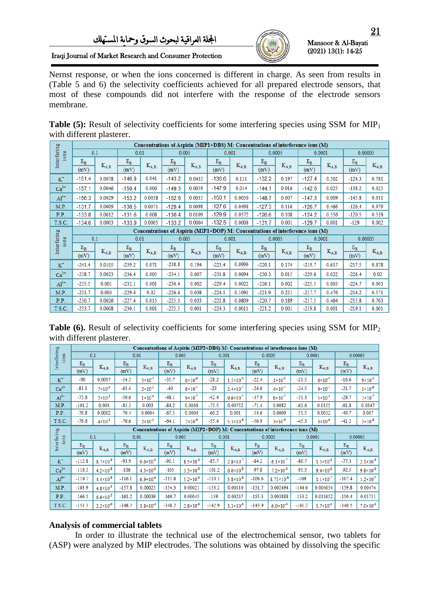Iraqi Journal of Market Research and Consumer Protection



Mansoor & Al-Bayati (2021) 13(1): 14-25

۱

Nernst response, or when the ions concerned is different in charge. As seen from results in (Table 5 and 6) the selectivity coefficients achieved for all prepared electrode sensors, that most of these compounds did not interfere with the response of the electrode sensors membrane.

**Table (5):** Result of selectivity coefficients for some interfering species using SSM for MIP<sub>1</sub> with different plasterer.

|                     |             | Concentrations of Aspirin (MIP1+DBS) M: Concentrations of interference ions (M) |           |           |                                                                                 |           |           |           |          |           |          |           |          |           |
|---------------------|-------------|---------------------------------------------------------------------------------|-----------|-----------|---------------------------------------------------------------------------------|-----------|-----------|-----------|----------|-----------|----------|-----------|----------|-----------|
| Interfering<br>ions |             | 0.1                                                                             | 0.01      |           |                                                                                 | 0.005     |           | 0.001     |          | 0.0005    |          | 0.0001    |          | 0.00005   |
|                     | $E_{\rm R}$ |                                                                                 | $\rm E_B$ |           | $\rm E_B$                                                                       |           | $\rm E_B$ |           | $E_B$    |           | $E_B$    |           | $E_B$    |           |
|                     | (mV)        | $K_{A,B}$                                                                       | (mV)      | $K_{A,B}$ | (mV)                                                                            | $K_{A,B}$ | (mV)      | $K_{A,B}$ | (mV)     | $K_{A,B}$ | (mV)     | $K_{A,B}$ | (mV)     | $K_{A,B}$ |
| $K^+$               | $-151.4$    | 0.0078                                                                          | $-146.8$  | 0.041     | $-143.2$                                                                        | 0.0433    | $-136.6$  | 0.131     | $-132.2$ | 0.197     | $-127.4$ | 0.502     | $-124.3$ | 0.781     |
| $Ca^{2+}$           | $-157.1$    | 0.0046                                                                          | $-150.4$  | 0.006     | $-149.3$                                                                        | 0.0059    | $-147.9$  | 0.014     | $-144.1$ | 0.016     | $-142.5$ | 0.025     | $-138.2$ | 0.025     |
| $Al3+$              | $-156.3$    | 0.0029                                                                          | $-153.2$  | 0.0038    | $-152.6$                                                                        | 0.0035    | $-150.1$  | 0.0056    | $-148.7$ | 0.007     | $-147.3$ | 0.009     | $-145.8$ | 0.011     |
| M.P.                | $-131.7$    | 0.0009                                                                          | $-130.5$  | 0.0071    | $-129.4$                                                                        | 0.0098    | $-127.6$  | 0.0498    | $-127.3$ | 0.116     | $-126.7$ | 0.466     | $-126.4$ | 0.979     |
| P.P.                | $-133.8$    | 0.0012                                                                          | $-131.6$  | 0.008     | $-130.4$                                                                        | 0.0109    | $-128.9$  | 0.0572    | $-126.6$ | 0.108     | $-124.2$ | 0.356     | $-120.5$ | 0.519     |
| T.S.C.              | $-134.6$    | 0.0003                                                                          | $-133.9$  | 0.0005    | $-133.2$                                                                        | 0.0004    | $-132.5$  | 0.0008    | $-131.7$ | 0.001     | $-129.7$ | 0.001     | $-129$   | 0.002     |
|                     |             |                                                                                 |           |           | Concentrations of Aspirin (MIP1+DOP) M: Concentrations of interference ions (M) |           |           |           |          |           |          |           |          |           |
| ions                |             | 0.1                                                                             | 0.01      |           |                                                                                 | 0.005     | 0.001     |           |          | 0.0005    |          | 0.0001    |          | 0.00005   |
| Interfering         | $E_B$       | $K_{A,B}$                                                                       | $\rm E_B$ |           | $E_B$                                                                           |           | $E_B$     | $K_{A,B}$ | $E_B$    |           | $E_B$    |           | $E_B$    |           |
|                     | (mV)        |                                                                                 | (mV)      | $K_{A,B}$ | (mV)                                                                            | $K_{A,B}$ | (mV)      |           | (mV)     | $K_{A,B}$ | (mV)     | $K_{A,B}$ | (mV)     | $K_{A,B}$ |
| $K^+$               | $-241.4$    | 0.0105                                                                          | $-239.2$  | 0.071     | $-238.8$                                                                        | 0.194     | $-223.4$  | 0.0996    | $-220.1$ | 0.174     | $-219.7$ | 0.617     | $-217.5$ | 0.878     |
| $Ca^{2+}$           | $-238.7$    | 0.0023                                                                          | $-236.4$  | 0.005     | $-234.1$                                                                        | 0.007     | $-231.8$  | 0.0094    | $-230.3$ | 0.015     | $-229.6$ | 0.022     | $-226.4$ | 0.02      |
| $Al^{3+}$           | $-235.5$    | 0.001                                                                           | $-232.1$  | 0.001     | $-230.4$                                                                        | 0.002     | $-229.4$  | 0.0022    | $-226.1$ | 0.002     | $-225.5$ | 0.003     | $-224.7$ | 0.003     |
| M.P.                | $-231.7$    | 0.003                                                                           | $-229.4$  | 0.02      | $-226.4$                                                                        | 0.038     | $-224.1$  | 0.1091    | $-221.9$ | 0.221     | $-217.7$ | 0.476     | $-214.2$ | 0.571     |
| P.P.                | $-230.7$    | 0.0026                                                                          | $-227.4$  | 0.015     | $-225.3$                                                                        | 0.033     | $-221.8$  | 0.0809    | $-220.7$ | 0.189     | $-217.5$ | 0.464     | $-215.8$ | 0.703     |
| T.S.C.              | $-233.7$    | 0.0008                                                                          | $-230.1$  |           | $-225.5$                                                                        | 0.001     | $-224.3$  | 0.0011    | $-221.2$ | 0.001     | $-219.8$ | 0.001     | $-219.1$ | 0.001     |

**Table (6).** Result of selectivity coefficients for some interfering species using SSM for MIP<sub>2</sub> with different plasterer.

|                     |               | Concentrations of Aspirin (MIP2+DBS) M: Concentrations of interference ions (M) |               |                      |               |                      |               |                      |               |                                                                                 |               |                      |               |                      |
|---------------------|---------------|---------------------------------------------------------------------------------|---------------|----------------------|---------------|----------------------|---------------|----------------------|---------------|---------------------------------------------------------------------------------|---------------|----------------------|---------------|----------------------|
| ions                |               | 0.1                                                                             |               | 0.01                 |               | 0.005                |               | 0.001                |               | 0.0005                                                                          |               | 0.0001               |               | 0.00005              |
| Interfering         | $E_B$<br>(mV) | $K_{A,B}$                                                                       | $E_B$<br>(mV) | $K_{A,B}$            | $E_B$<br>(mV) | $K_{A,B}$            | $E_B$<br>(mV) | $K_{A,B}$            | $E_B$<br>(mV) | $\rm K_{A,B}$                                                                   | $E_B$<br>(mV) | $K_{A,B}$            | $E_B$<br>(mV) | $K_{A,B}$            |
| $K^+$               | $-90$         | 0.0007                                                                          | $-54.3$       | $5 \times 10^{-5}$   | $-35.7$       | $6\times10^{-6}$     | $-28.2$       | $1.5 \times 10^{-5}$ | $-22.4$       | $1 \times 10^{-5}$                                                              | $-21.5$       | $6 \times 10^{-5}$   | $-16.6$       | $9 \times 10^{-5}$   |
| $Ca2+$              | $-81.1$       | $7 \times 10^{-5}$                                                              | $-63.4$       | $2\times10^{-5}$     | $-40$         | $8\times10^{-7}$     | $-23$         | $2.4 \times 10^{-7}$ | $-24.6$       | $4 \times 10^{-7}$                                                              | $-24.5$       | $9 \times 10^{-7}$   | $-21.7$       | $1 \times 10^{-6}$   |
| $Al3+$              | $-73.6$       | $2 \times 10^{-5}$                                                              | $-50.6$       | $1 \times 10^{-6}$   | $-48.1$       | $9 \times 10^{-7}$   | $-42.4$       | $9.6 \times 10^{-7}$ | $-37.9$       | $6 \times 10^{-7}$                                                              | $-31.3$       | $5 \times 10^{-5}$   | $-29.7$       | $7 \times 10^{-7}$   |
| M.P.                | $-101.2$      | 0.003                                                                           | $-85.3$       | 0.003                | $-84.2$       | 0.0036               | $-75.5$       | 0.00752              | $-71.4$       | 0.0082                                                                          | $-63.6$       | 0.0155               | $-61.8$       | 0.0347               |
| P.P.                | $-79.8$       | 0.0002                                                                          | $-70.4$       | 0.0004               | $-67.5$       | 0.0004               | $-60.2$       | 0.001                | $-54.6$       | 0.0009                                                                          | $-51.5$       | 0.0032               | $-49.7$       | 0.007                |
| T.S.C.              | $-79.6$       | $4 \times 10^{-5}$                                                              | $-70.6$       | $2 \times 10^{-5}$   | $-64.1$       | $7\times10^{-6}$     | $-55.4$       | $5.3 \times 10^{-6}$ | $-50.9$       | $3 \times 10^{-6}$                                                              | $-45.3$       | $3 \times 10^{-6}$   | $-41.2$       | $3 \times 10^{-6}$   |
|                     |               |                                                                                 |               |                      |               |                      |               |                      |               | Concentrations of Aspirin (MIP2+DOP) M: Concentrations of interference ions (M) |               |                      |               |                      |
| Interfering<br>ions | 0.1           |                                                                                 |               | 0.01                 |               | 0.005                |               | 0.001                |               | 0.0005                                                                          |               | 0.0001               |               | 0.00005              |
|                     |               |                                                                                 |               |                      |               |                      |               |                      |               |                                                                                 |               |                      |               |                      |
|                     | $E_B$         |                                                                                 | $E_B$         |                      | $E_B$         |                      | $E_B$         |                      | $E_B$         |                                                                                 | $E_B$         |                      | $E_B$         |                      |
|                     | (mV)          | $K_{A,B}$                                                                       | (mV)          | $K_{A,B}$            | (mV)          | $K_{A,B}$            | (mV)          | $K_{A,B}$            | (mV)          | $K_{A,B}$                                                                       | (mV)          | $K_{A,B}$            | (mV)          | $K_{A,B}$            |
| $K^+$               | $-112.8$      | $8.7 \times 10^{-8}$                                                            | $-93.9$       | $9.6 \times 10^{-8}$ | $-91.1$       | $8.5 \times 10^{-8}$ | $-85.7$       | $2.8 \times 10^{-7}$ | $-84.2$       | $6.1 \times 10^{-7}$                                                            | $-80.7$       | $1.5 \times 10^{-6}$ | $-77.3$       | $2.1 \times 10^{-6}$ |
| $Ca2+$              | $-116.3$      | $4.2 \times 10^{-8}$                                                            | $-106$        | $4.3 \times 10^{-8}$ | $-105$        | $3.3 \times 10^{-8}$ | $-101.2$      | $6.0 \times 10^{-8}$ | $-97.8$       | $7.2 \times 10^{-8}$                                                            | $-95.5$       | $9.4 \times 10^{-8}$ | $-92.5$       | $9.8 \times 10^{-8}$ |
| $Al3+$              | $-119.7$      | $4.4 \times 10^{-8}$                                                            | $-116.1$      | $6.9 \times 10^{-8}$ | $-115.8$      | $5.2 \times 10^{-8}$ | $-110.3$      | $5.8 \times 10^{-8}$ | $-109.6$      | $8.73 \times 10^{-8}$                                                           | $-109$        | $1.1 \times 10^{-7}$ | $-107.4$      | $1.2 \times 10^{-7}$ |
| M.P.                | $-163.9$      | $4.8 \times 10^{-5}$                                                            | $-157.8$      | 0.00025              | $-154.3$      | 0.00021              | $-153.2$      | 0.00116              | $-151.7$      | 0.002494                                                                        | $-144.6$      | 0.004034             | $-139.8$      | 0.00474              |
| P.P.                | $-166.5$      | $6.6 \times 10^{-5}$                                                            | $-161.2$      | 0.00039              | $-160.7$      | 0.00045              | $-159$        | 0.00237              | $-155.3$      | 0.003888                                                                        | $-153.2$      | 0.011652             | $-150.4$      | 0.01751              |

# **Analysis of commercial tablets**

In order to illustrate the technical use of the electrochemical sensor, two tablets for (ASP) were analyzed by MIP electrodes. The solutions was obtained by dissolving the specific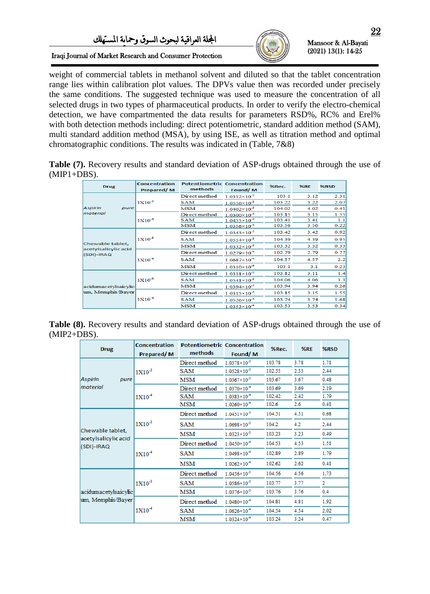

۱

Iraqi Journal of Market Research and Consumer Protection

weight of commercial tablets in methanol solvent and diluted so that the tablet concentration range lies within calibration plot values. The DPVs value then was recorded under precisely the same conditions. The suggested technique was used to measure the concentration of all selected drugs in two types of pharmaceutical products. In order to verify the electro-chemical detection, we have compartmented the data results for parameters RSD%, RC% and Erel% with both detection methods including: direct potentiometric, standard addition method (SAM), multi standard addition method (MSA), by using ISE, as well as titration method and optimal chromatographic conditions. The results was indicated in (Table, 7&8)

**Table (7).** Recovery results and standard deviation of ASP-drugs obtained through the use of  $(MIP1+DBS)$ .

| <b>Drug</b>                              | <b>Concentration</b><br>Prepared/M | <b>Potentiometric Concentration</b><br>methods | Found/M                 | %Rec.  | %RE  | %RSD |
|------------------------------------------|------------------------------------|------------------------------------------------|-------------------------|--------|------|------|
|                                          |                                    | Direct method                                  | $1.0312\times10^{-3}$   | 103.1  | 3.12 | 2.31 |
|                                          | $1X10^{-3}$                        | <b>SAM</b>                                     | $1.0556 \times 10^{-3}$ | 103.22 | 3.22 | 2.07 |
| Aspirin<br>pure                          |                                    | MSM                                            | $1.0402 \times 10^{-3}$ | 104.02 | 4.02 | 0.41 |
| material                                 |                                    | Direct method                                  | $1.0300 \times 10^{-4}$ | 103.15 | 3.15 | 1.55 |
|                                          | $1X10^{-4}$                        | <b>SAM</b>                                     | $1.0455 \times 10^{-4}$ | 103.41 | 3.41 | 1.1  |
|                                          |                                    | MSM                                            | $1.0356 \times 10^{-4}$ | 103.56 | 3.56 | 0.22 |
|                                          | $1X10^{-3}$<br>$1X10-4$            | Direct method                                  | $1.0343 \times 10^{-3}$ | 103.42 | 3.42 | 0.92 |
|                                          |                                    | <b>SAM</b>                                     | $1.0554\times10^{-3}$   | 104.39 | 4.39 | 0.95 |
| Chewable tablet,<br>acetylsalicylic acid |                                    | <b>MSM</b>                                     | $1.0332 \times 10^{-3}$ | 103.32 | 3.32 | 0.33 |
| (SDI)-IRAQ                               |                                    | Direct method                                  | $1.0279 \times 10^{-4}$ | 102.79 | 2.79 | 0.77 |
|                                          |                                    | <b>SAM</b>                                     | $1.0687\times10^{-4}$   | 104.57 | 4.57 | 2.2  |
|                                          |                                    | <b>MSM</b>                                     | $1.0310\times10^{-4}$   | 103.1  | 3.1  | 0.23 |
|                                          |                                    | Direct method                                  | $1.0311\times10^{-3}$   | 103.12 | 3.11 | 1.4  |
|                                          | $1X10^{-3}$                        | <b>SAM</b>                                     | $1.0541 \times 10^{-3}$ | 104.06 | 4.06 | 1.3  |
| acidumacetylsaicylic                     |                                    | MSM                                            | $1.0394\times10^{-3}$   | 103.94 | 3.94 | 0.26 |
| um, Memphis/Bayer                        |                                    | Direct method                                  | $1.0315 \times 10^{-4}$ | 103.15 | 3.15 | 1.55 |
|                                          | $1X10-4$                           | <b>SAM</b>                                     | $1.0526 \times 10^{-4}$ | 103.74 | 3.74 | 1.68 |
|                                          |                                    | <b>MSM</b>                                     | $1.0353 \times 10^{-4}$ | 103.53 | 3.53 | 0.34 |

**Table (8).** Recovery results and standard deviation of ASP-drugs obtained through the use of (MIP2+DBS).

| <b>Drug</b>                        | <b>Concentration</b><br>Prepared/M | <b>Potentiometric Concentration</b><br>methods | Found/M                 | %Rec.  | %RE  | %RSD           |
|------------------------------------|------------------------------------|------------------------------------------------|-------------------------|--------|------|----------------|
|                                    |                                    | Direct method                                  | $1.0378 \times 10^{-3}$ | 103.78 | 3.78 | 1.71           |
|                                    | $1X10^{-3}$                        | <b>SAM</b>                                     | $1.0528 \times 10^{-3}$ | 102.55 | 2.55 | 2.44           |
| Aspirin<br>pure                    |                                    | <b>MSM</b>                                     | $1.0367 \times 10^{-3}$ | 103.67 | 3.67 | 0.48           |
| <i>material</i>                    |                                    | Direct method                                  | $1.0370 \times 10^{-4}$ | 103.69 | 3.69 | 2.19           |
|                                    | $1X10-4$                           | <b>SAM</b>                                     | $1.0383 \times 10^{-4}$ | 102.42 | 2.42 | 1.79           |
|                                    |                                    | <b>MSM</b>                                     | $1.0260 \times 10^{-4}$ | 102.6  | 2.6  | 0.41           |
|                                    | $1X10^{-3}$<br>$1X10-4$            | Direct method                                  | $1.0451\times10^{-3}$   | 104.51 | 4.51 | 0.68           |
|                                    |                                    | <b>SAM</b>                                     | $1.0698\times10^{-3}$   | 104.2  | 4.2  | 2.44           |
| Chewable tablet,                   |                                    | <b>MSM</b>                                     | $1.0323 \times 10^{-3}$ | 103.23 | 3.23 | 0.49           |
| acetylsalicylic acid<br>(SDI)-IRAQ |                                    | Direct method                                  | $1.0450\times10^{-4}$   | 104.53 | 4.53 | 1.51           |
|                                    |                                    | <b>SAM</b>                                     | $1.0498 \times 10^{-4}$ | 102.89 | 2.89 | 1.79           |
|                                    |                                    | <b>MSM</b>                                     | $1.0262 \times 10^{-4}$ | 102.62 | 2.62 | 0.41           |
|                                    |                                    | Direct method                                  | $1.0456 \times 10^{-3}$ | 104.56 | 4.56 | 1.73           |
|                                    | $1X10^{-3}$                        | <b>SAM</b>                                     | $1.0586 \times 10^{-3}$ | 103.77 | 3.77 | $\overline{2}$ |
| acidumacetylsaicylic               |                                    | <b>MSM</b>                                     | $1.0376 \times 10^{-3}$ | 103.76 | 3.76 | 0.4            |
| um, Memphis/Bayer                  |                                    | Direct method                                  | $1.0480\times10^{-4}$   | 104.81 | 4.81 | 1.92           |
|                                    | $1X10-4$                           | <b>SAM</b>                                     | $1.0626 \times 10^{-4}$ | 104.54 | 4.54 | 2.02           |
|                                    |                                    | <b>MSM</b>                                     | $1.0324 \times 10^{-4}$ | 103.24 | 3.24 | 0.47           |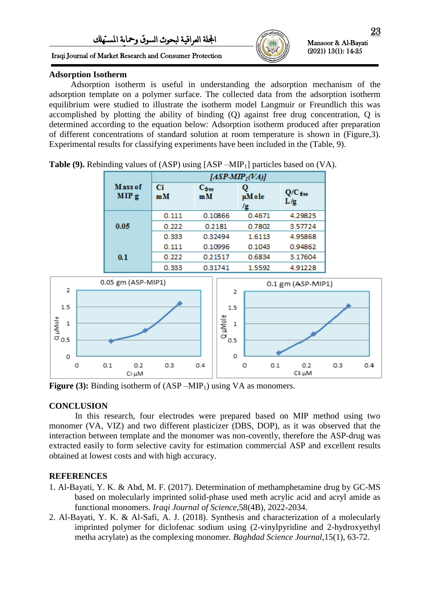### Iraqi Journal of Market Research and Consumer Protection



Mansoor & Al-Bayati (2021) 13(1): 14-25

ı

# **Adsorption Isotherm**

 Adsorption isotherm is useful in understanding the adsorption mechanism of the adsorption template on a polymer surface. The collected data from the adsorption isotherm equilibrium were studied to illustrate the isotherm model Langmuir or Freundlich this was accomplished by plotting the ability of binding (Q) against free drug concentration, Q is determined according to the equation below: Adsorption isotherm produced after preparation of different concentrations of standard solution at room temperature is shown in (Figure,3). Experimental results for classifying experiments have been included in the (Table, 9).

|                             | $[ASP-MIP_1(VA)]$ |                         |             |                  |  |  |  |  |
|-----------------------------|-------------------|-------------------------|-------------|------------------|--|--|--|--|
| Mass of<br>MIP <sub>g</sub> | Ci<br>mM          | $C_{\text{free}}$<br>mM | µMole<br>/g | $Q/C$ fee<br>L/g |  |  |  |  |
|                             | 0.111             | 0.10866                 | 0.4671      | 4.29825          |  |  |  |  |
| 0.05                        | 0.222             | 0.2181                  | 0.7802      | 3.57724          |  |  |  |  |
|                             | 0.333             | 0.32494                 | 1.6113      | 4.95868          |  |  |  |  |
|                             | 0.111             | 0.10996                 | 0.1043      | 0.94862          |  |  |  |  |
| 0.1                         | 0.222             | 0.21517                 | 0.6834      | 3.17604          |  |  |  |  |
|                             | 0.333             | 0.31741                 | 1.5592      | 4.91228          |  |  |  |  |

**Table (9).** Rebinding values of (ASP) using [ASP –MIP<sub>1</sub>] particles based on (VA).



**Figure (3):** Binding isotherm of (ASP –MIP<sub>1</sub>) using VA as monomers.

# **CONCLUSION**

In this research, four electrodes were prepared based on MIP method using two monomer (VA, VIZ) and two different plasticizer (DBS, DOP), as it was observed that the interaction between template and the monomer was non-covently, therefore the ASP-drug was extracted easily to form selective cavity for estimation commercial ASP and excellent results obtained at lowest costs and with high accuracy.

# **REFERENCES**

- 1. Al-Bayati, Y. K. & Abd, M. F. (2017). Determination of methamphetamine drug by GC-MS based on molecularly imprinted solid-phase used meth acrylic acid and acryl amide as functional monomers. *Iraqi Journal of Science*,58(4B), 2022-2034.
- 2. Al-Bayati, Y. K. & Al-Safi, A. J. (2018). Synthesis and characterization of a molecularly imprinted polymer for diclofenac sodium using (2-vinylpyridine and 2-hydroxyethyl metha acrylate) as the complexing monomer. *Baghdad Science Journal*,15(1), 63-72.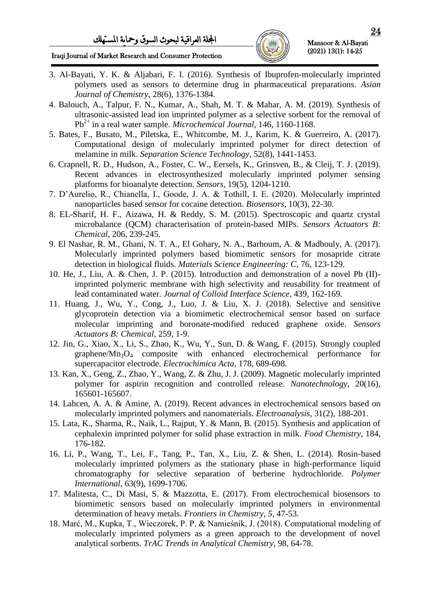

ı

# Iraqi Journal of Market Research and Consumer Protection

- 3. Al-Bayati, Y. K. & Aljabari, F. I. (2016). Synthesis of Ibuprofen-molecularly imprinted polymers used as sensors to determine drug in pharmaceutical preparations. *Asian Journal of Chemistry*, 28(6), 1376-1384.
- 4. Balouch, A., Talpur, F. N., Kumar, A., Shah, M. T. & Mahar, A. M. (2019). Synthesis of ultrasonic-assisted lead ion imprinted polymer as a selective sorbent for the removal of Pb2+ in a real water sample. *Microchemical Journal*, 146, 1160-1168.
- 5. Bates, F., Busato, M., Piletska, E., Whitcombe, M. J., Karim, K. & Guerreiro, A. (2017). Computational design of molecularly imprinted polymer for direct detection of melamine in milk. *Separation Science Technology*, 52(8), 1441-1453.
- 6. Crapnell, R. D., Hudson, A., Foster, C. W., Eersels, K., Grinsven, B., & Cleij, T. J. (2019). Recent advances in electrosynthesized molecularly imprinted polymer sensing platforms for bioanalyte detection. *Sensors*, 19(5), 1204-1210.
- 7. D'Aurelio, R., Chianella, I., Goode, J. A. & Tothill, I. E. (2020). Molecularly imprinted nanoparticles based sensor for cocaine detection. *Biosensors*, 10(3), 22-30.
- 8. EL-Sharif, H. F., Aizawa, H. & Reddy, S. M. (2015). Spectroscopic and quartz crystal microbalance (QCM) characterisation of protein-based MIPs. *Sensors Actuators B: Chemical*, 206, 239-245.
- 9. El Nashar, R. M., Ghani, N. T. A., El Gohary, N. A., Barhoum, A. & Madbouly, A. (2017). Molecularly imprinted polymers based biomimetic sensors for mosapride citrate detection in biological fluids. *Materials Science Engineering: C*, 76, 123-129.
- 10. He, J., Liu, A. & Chen, J. P. (2015). Introduction and demonstration of a novel Pb (II) imprinted polymeric membrane with high selectivity and reusability for treatment of lead contaminated water. *Journal of Colloid Interface Science*, 439, 162-169.
- 11. Huang, J., Wu, Y., Cong, J., Luo, J. & Liu, X. J. (2018). Selective and sensitive glycoprotein detection via a biomimetic electrochemical sensor based on surface molecular imprinting and boronate-modified reduced graphene oxide. *Sensors Actuators B: Chemical*, 259, 1-9.
- 12. Jin, G., Xiao, X., Li, S., Zhao, K., Wu, Y., Sun, D. & Wang, F. (2015). Strongly coupled graphene/ $Mn_3O_4$  composite with enhanced electrochemical performance for supercapacitor electrode. *Electrochimica Acta*, 178, 689-698.
- 13. Kan, X., Geng, Z., Zhao, Y., Wang, Z. & Zhu, J. J. (2009). Magnetic molecularly imprinted polymer for aspirin recognition and controlled release. *Nanotechnology*, 20(16), 165601-165607.
- 14. Lahcen, A. A. & Amine, A. (2019). Recent advances in electrochemical sensors based on molecularly imprinted polymers and nanomaterials. *Electroanalysis*, 31(2), 188-201.
- 15. Lata, K., Sharma, R., Naik, L., Rajput, Y. & Mann, B. (2015). Synthesis and application of cephalexin imprinted polymer for solid phase extraction in milk. *Food Chemistry*, 184, 176-182.
- 16. Li, P., Wang, T., Lei, F., Tang, P., Tan, X., Liu, Z. & Shen, L. (2014). Rosin‐based molecularly imprinted polymers as the stationary phase in high-performance liquid chromatography for selective separation of berberine hydrochloride. *Polymer International*, 63(9), 1699-1706.
- 17. Malitesta, C., Di Masi, S. & Mazzotta, E. (2017). From electrochemical biosensors to biomimetic sensors based on molecularly imprinted polymers in environmental determination of heavy metals. *Frontiers in Chemistry, 5*, 47-53.
- 18. Marć, M., Kupka, T., Wieczorek, P. P. & Namieśnik, J. (2018). Computational modeling of molecularly imprinted polymers as a green approach to the development of novel analytical sorbents. *TrAC Trends in Analytical Chemistry*, 98, 64-78.